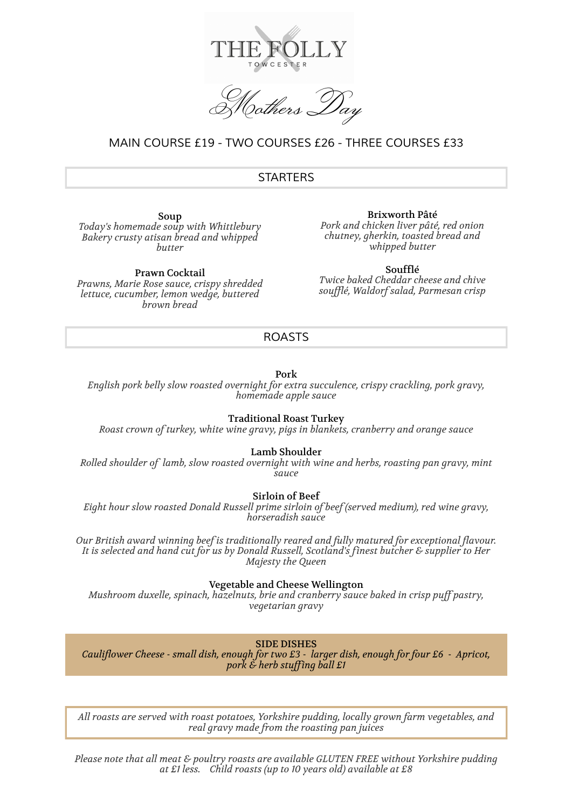

,<br>9 others I

# *MAIN COURSE £19 - TWO COURSES £26 - THREE COURSES £33*

## *STARTERS*

Soup *Today's homemade soup with Whittlebury Bakery crusty atisan bread and whipped butter*

Prawn Cocktail *Prawns, Marie Rose sauce, crispy shredded lettuce, cucumber, lemon wedge, buttered brown bread*

Brixworth Pâté *Pork and chicken liver pâté, red onion chutney, gherkin, toasted bread and whipped butter*

Soufflé *Twice baked Cheddar cheese and chive soufflé, Waldorf salad, Parmesan crisp*

## *ROASTS*

Pork

*English pork belly slow roasted overnight for extra succulence, crispy crackling, pork gravy, homemade apple sauce*

Traditional Roast Turkey

*Roast crown of turkey, white wine gravy, pigs in blankets, cranberry and orange sauce*

Lamb Shoulder

*Rolled shoulder of lamb, slow roasted overnight with wine and herbs, roasting pan gravy, mint sauce*

Sirloin of Beef

*Eight hour slow roasted Donald Russell prime sirloin of beef (served medium), red wine gravy, horseradish sauce*

*Our British award winning beef is traditionally reared and fully matured for exceptional flavour. It is selected and hand cut for us by Donald Russell, Scotland's finest butcher & supplier to Her Majesty the Queen*

Vegetable and Cheese Wellington

*Mushroom duxelle, spinach, hazelnuts, brie and cranberry sauce baked in crisp puff pastry, vegetarian gravy*

SIDE DISHES

*Cauliflower Cheese - small dish, enough for two £3 - larger dish, enough for four £6 - Apricot, pork & herb stuffing ball £1*

*All roasts are served with roast potatoes, Yorkshire pudding, locally grown farm vegetables, and real gravy made from the roasting pan juices*

*Please note that all meat & poultry roasts are available GLUTEN FREE without Yorkshire pudding at £1 less. Child roasts (up to 10 years old) available at £8*